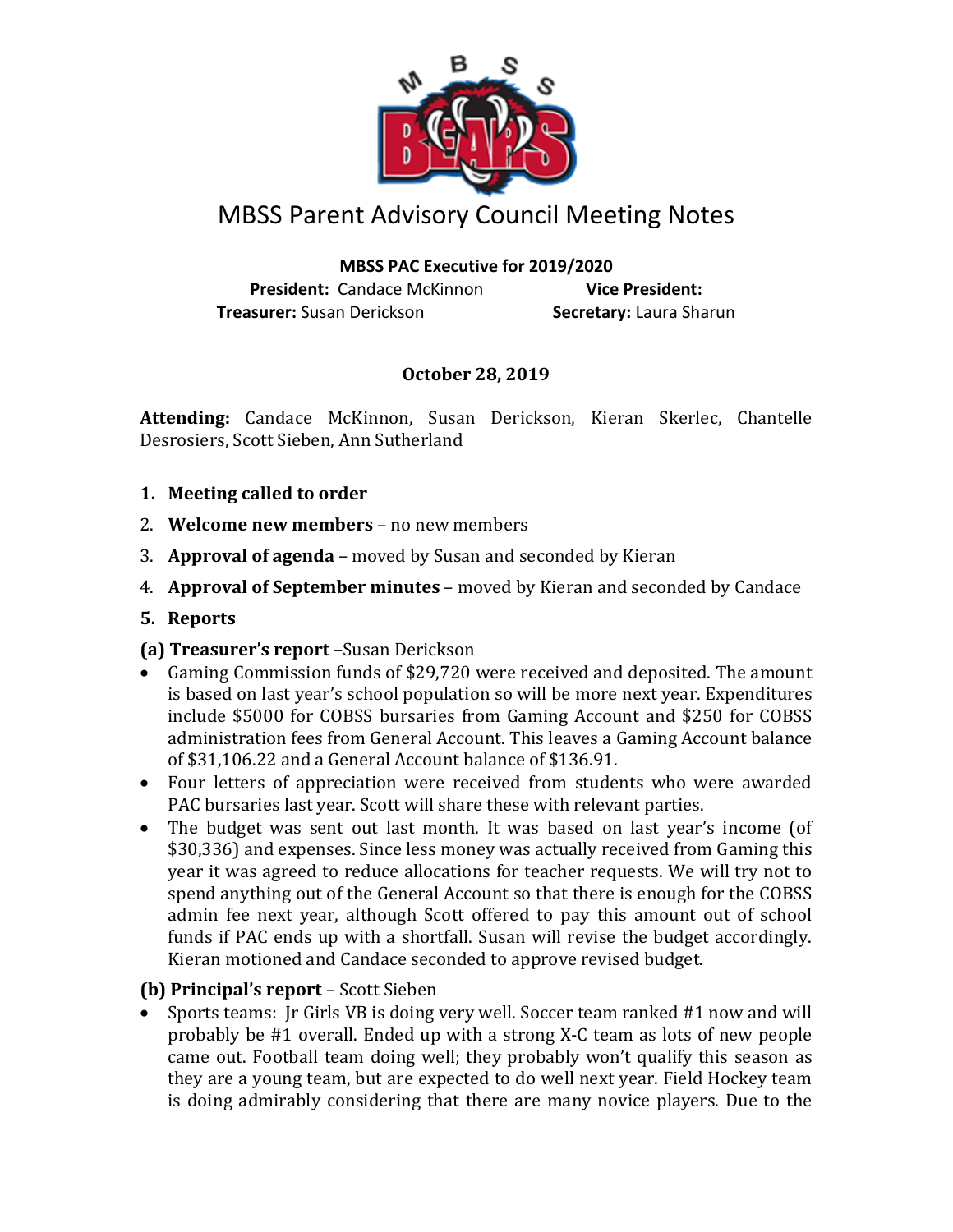

# MBSS Parent Advisory Council Meeting Notes

#### **MBSS PAC Executive for 2019/2020**

**President:** Candace McKinnon **Vice President: Treasurer:** Susan Derickson **Secretary:** Laura Sharun

## **October 28, 2019**

**Attending:** Candace McKinnon, Susan Derickson, Kieran Skerlec, Chantelle Desrosiers, Scott Sieben, Ann Sutherland

- **1. Meeting called to order**
- 2. **Welcome new members** no new members
- 3. **Approval of agenda** moved by Susan and seconded by Kieran
- 4. **Approval of September minutes** moved by Kieran and seconded by Candace
- **5. Reports**

#### **(a) Treasurer's report** –Susan Derickson

- Gaming Commission funds of \$29,720 were received and deposited. The amount is based on last year's school population so will be more next year. Expenditures include \$5000 for COBSS bursaries from Gaming Account and \$250 for COBSS administration fees from General Account. This leaves a Gaming Account balance of \$31,106.22 and a General Account balance of \$136.91.
- Four letters of appreciation were received from students who were awarded PAC bursaries last year. Scott will share these with relevant parties.
- The budget was sent out last month. It was based on last year's income (of \$30,336) and expenses. Since less money was actually received from Gaming this year it was agreed to reduce allocations for teacher requests. We will try not to spend anything out of the General Account so that there is enough for the COBSS admin fee next year, although Scott offered to pay this amount out of school funds if PAC ends up with a shortfall. Susan will revise the budget accordingly. Kieran motioned and Candace seconded to approve revised budget.

## **(b) Principal's report** – Scott Sieben

• Sports teams: Jr Girls VB is doing very well. Soccer team ranked #1 now and will probably be #1 overall. Ended up with a strong X-C team as lots of new people came out. Football team doing well; they probably won't qualify this season as they are a young team, but are expected to do well next year. Field Hockey team is doing admirably considering that there are many novice players. Due to the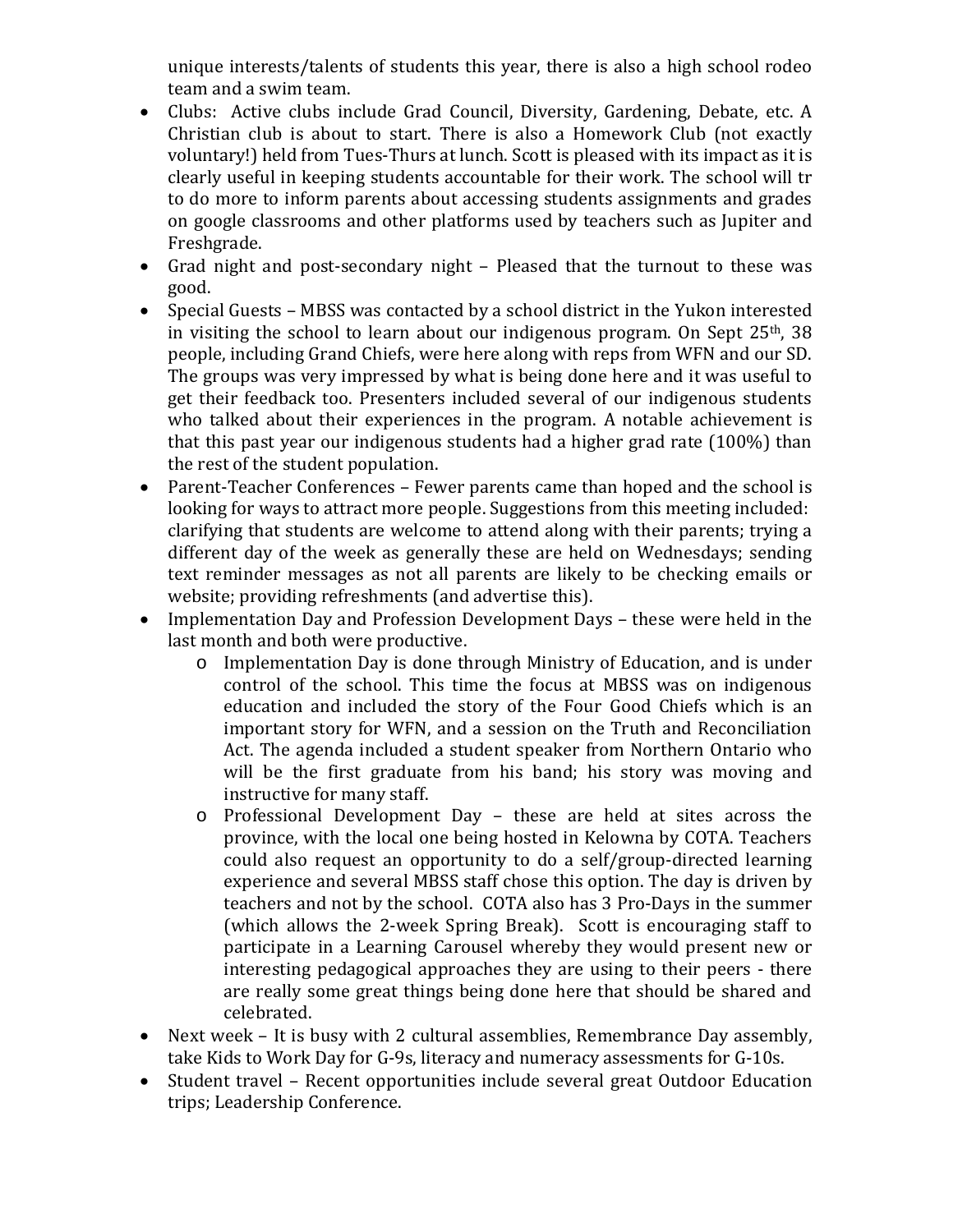unique interests/talents of students this year, there is also a high school rodeo team and a swim team.

- Clubs: Active clubs include Grad Council, Diversity, Gardening, Debate, etc. A Christian club is about to start. There is also a Homework Club (not exactly voluntary!) held from Tues-Thurs at lunch. Scott is pleased with its impact as it is clearly useful in keeping students accountable for their work. The school will tr to do more to inform parents about accessing students assignments and grades on google classrooms and other platforms used by teachers such as Jupiter and Freshgrade.
- Grad night and post-secondary night Pleased that the turnout to these was good.
- Special Guests MBSS was contacted by a school district in the Yukon interested in visiting the school to learn about our indigenous program. On Sept 25<sup>th</sup>, 38 people, including Grand Chiefs, were here along with reps from WFN and our SD. The groups was very impressed by what is being done here and it was useful to get their feedback too. Presenters included several of our indigenous students who talked about their experiences in the program. A notable achievement is that this past year our indigenous students had a higher grad rate (100%) than the rest of the student population.
- Parent-Teacher Conferences Fewer parents came than hoped and the school is looking for ways to attract more people. Suggestions from this meeting included: clarifying that students are welcome to attend along with their parents; trying a different day of the week as generally these are held on Wednesdays; sending text reminder messages as not all parents are likely to be checking emails or website; providing refreshments (and advertise this).
- Implementation Day and Profession Development Days these were held in the last month and both were productive.
	- o Implementation Day is done through Ministry of Education, and is under control of the school. This time the focus at MBSS was on indigenous education and included the story of the Four Good Chiefs which is an important story for WFN, and a session on the Truth and Reconciliation Act. The agenda included a student speaker from Northern Ontario who will be the first graduate from his band; his story was moving and instructive for many staff.
	- o Professional Development Day these are held at sites across the province, with the local one being hosted in Kelowna by COTA. Teachers could also request an opportunity to do a self/group-directed learning experience and several MBSS staff chose this option. The day is driven by teachers and not by the school. COTA also has 3 Pro-Days in the summer (which allows the 2-week Spring Break). Scott is encouraging staff to participate in a Learning Carousel whereby they would present new or interesting pedagogical approaches they are using to their peers - there are really some great things being done here that should be shared and celebrated.
- Next week It is busy with 2 cultural assemblies, Remembrance Day assembly, take Kids to Work Day for G-9s, literacy and numeracy assessments for G-10s.
- Student travel Recent opportunities include several great Outdoor Education trips; Leadership Conference.